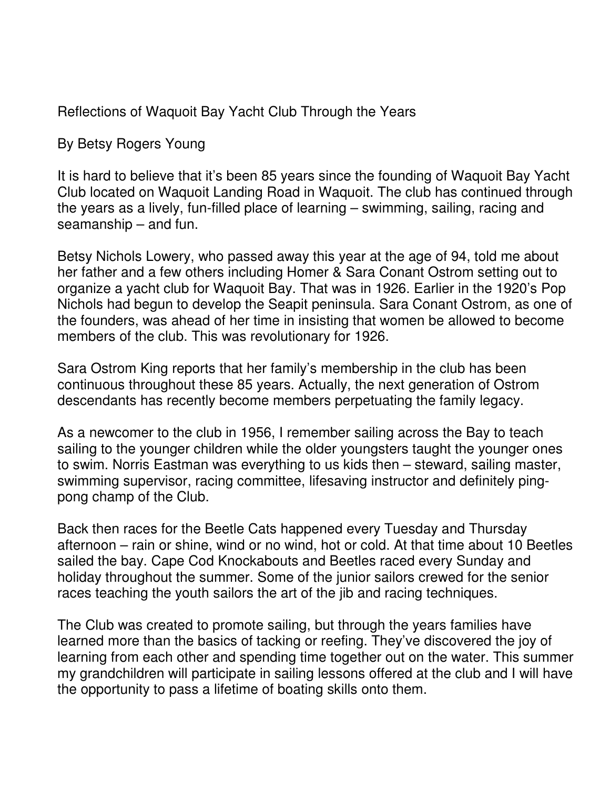Reflections of Waquoit Bay Yacht Club Through the Years

By Betsy Rogers Young

It is hard to believe that it's been 85 years since the founding of Waquoit Bay Yacht Club located on Waquoit Landing Road in Waquoit. The club has continued through the years as a lively, fun-filled place of learning – swimming, sailing, racing and seamanship – and fun.

Betsy Nichols Lowery, who passed away this year at the age of 94, told me about her father and a few others including Homer & Sara Conant Ostrom setting out to organize a yacht club for Waquoit Bay. That was in 1926. Earlier in the 1920's Pop Nichols had begun to develop the Seapit peninsula. Sara Conant Ostrom, as one of the founders, was ahead of her time in insisting that women be allowed to become members of the club. This was revolutionary for 1926.

Sara Ostrom King reports that her family's membership in the club has been continuous throughout these 85 years. Actually, the next generation of Ostrom descendants has recently become members perpetuating the family legacy.

As a newcomer to the club in 1956, I remember sailing across the Bay to teach sailing to the younger children while the older youngsters taught the younger ones to swim. Norris Eastman was everything to us kids then – steward, sailing master, swimming supervisor, racing committee, lifesaving instructor and definitely pingpong champ of the Club.

Back then races for the Beetle Cats happened every Tuesday and Thursday afternoon – rain or shine, wind or no wind, hot or cold. At that time about 10 Beetles sailed the bay. Cape Cod Knockabouts and Beetles raced every Sunday and holiday throughout the summer. Some of the junior sailors crewed for the senior races teaching the youth sailors the art of the jib and racing techniques.

The Club was created to promote sailing, but through the years families have learned more than the basics of tacking or reefing. They've discovered the joy of learning from each other and spending time together out on the water. This summer my grandchildren will participate in sailing lessons offered at the club and I will have the opportunity to pass a lifetime of boating skills onto them.